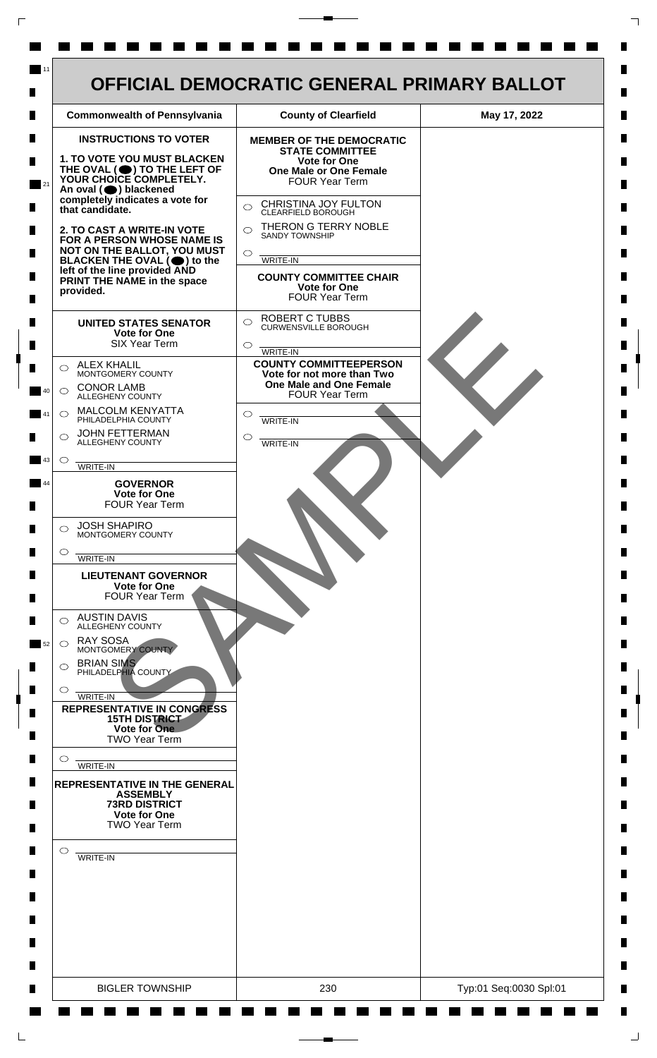| <b>Commonwealth of Pennsylvania</b>                                                               | <b>County of Clearfield</b>                                        | May 17, 2022 |
|---------------------------------------------------------------------------------------------------|--------------------------------------------------------------------|--------------|
| <b>INSTRUCTIONS TO VOTER</b>                                                                      | <b>MEMBER OF THE DEMOCRATIC</b><br><b>STATE COMMITTEE</b>          |              |
| <b>1. TO VOTE YOU MUST BLACKEN</b>                                                                | Vote for One<br><b>One Male or One Female</b>                      |              |
| THE OVAL (O) TO THE LEFT OF YOUR CHOICE COMPLETELY.<br>An oval (O) blackened                      | <b>FOUR Year Term</b>                                              |              |
| completely indicates a vote for<br>that candidate.                                                | CHRISTINA JOY FULTON<br>$\bigcirc$<br>CLEARFIELD BOROUGH           |              |
| 2. TO CAST A WRITE-IN VOTE                                                                        | THERON G TERRY NOBLE<br>$\bigcap$<br><b>SANDY TOWNSHIP</b>         |              |
| FOR A PERSON WHOSE NAME IS<br>NOT ON THE BALLOT, YOU MUST<br>BLACKEN THE OVAL $(\bigcirc)$ to the | $\bigcirc$<br>WRITE-IN                                             |              |
| left of the line provided AND<br>PRINT THE NAME in the space                                      | <b>COUNTY COMMITTEE CHAIR</b>                                      |              |
| provided.                                                                                         | <b>Vote for One</b><br><b>FOUR Year Term</b>                       |              |
| <b>UNITED STATES SENATOR</b>                                                                      | <b>ROBERT C TUBBS</b><br>$\bigcirc$<br><b>CURWENSVILLE BOROUGH</b> |              |
| Vote for One<br><b>SIX Year Term</b>                                                              | $\circ$<br>WRITE-IN                                                |              |
| <b>ALEX KHALIL</b><br>◯<br>MONTGOMERY COUNTY                                                      | <b>COUNTY COMMITTEEPERSON</b><br>Vote for not more than Two        |              |
| <b>CONOR LAMB</b><br>$\bigcirc$<br>ALLEGHENY COUNTY                                               | One Male and One Female<br><b>FOUR Year Term</b>                   |              |
| MALCOLM KENYATTA<br>$\circ$<br>PHILADELPHIA COUNTY                                                | $\circ$                                                            |              |
| <b>JOHN FETTERMAN</b><br>⌒                                                                        | <b>WRITE-IN</b><br>O                                               |              |
| ALLEGHENY COUNTY<br>$\circ$                                                                       | WRITE-IN                                                           |              |
| WRITE-IN<br><b>GOVERNOR</b>                                                                       |                                                                    |              |
| <b>Vote for One</b><br><b>FOUR Year Term</b>                                                      |                                                                    |              |
| <b>JOSH SHAPIRO</b><br>⌒                                                                          |                                                                    |              |
| MONTGOMERY COUNTY<br>$\circ$                                                                      |                                                                    |              |
| WRITE-IN<br><b>LIEUTENANT GOVERNOR</b>                                                            |                                                                    |              |
| <b>Vote for One</b><br><b>FOUR Year Term</b>                                                      |                                                                    |              |
| <b>AUSTIN DAVIS</b><br>⌒<br><b>ALLEGHENY COUNTY</b>                                               |                                                                    |              |
| <b>RAY SOSA</b><br>$\bigcirc$<br>MONTGOMERY COUNTY                                                |                                                                    |              |
| <b>BRIAN SIMS</b><br>$\circ$<br>PHILADELPHIA COUNTY                                               |                                                                    |              |
| $\circ$<br>WRITE-IN                                                                               |                                                                    |              |
| <b>REPRESENTATIVE IN CONGRESS</b><br><b>15TH DISTRICT</b>                                         |                                                                    |              |
| Vote for One<br><b>TWO Year Term</b>                                                              |                                                                    |              |
| $\circ$<br>WRITE-IN                                                                               |                                                                    |              |
| <b>REPRESENTATIVE IN THE GENERAL</b>                                                              |                                                                    |              |
| <b>ASSEMBLY</b><br><b>73RD DISTRICT</b><br><b>Vote for One</b>                                    |                                                                    |              |
| <b>TWO Year Term</b>                                                                              |                                                                    |              |
| $\circ$<br>WRITE-IN                                                                               |                                                                    |              |
|                                                                                                   |                                                                    |              |
|                                                                                                   |                                                                    |              |
|                                                                                                   |                                                                    |              |
|                                                                                                   |                                                                    |              |
|                                                                                                   |                                                                    |              |
|                                                                                                   |                                                                    |              |

 $\Gamma$ 

 $\Box$ 

٦